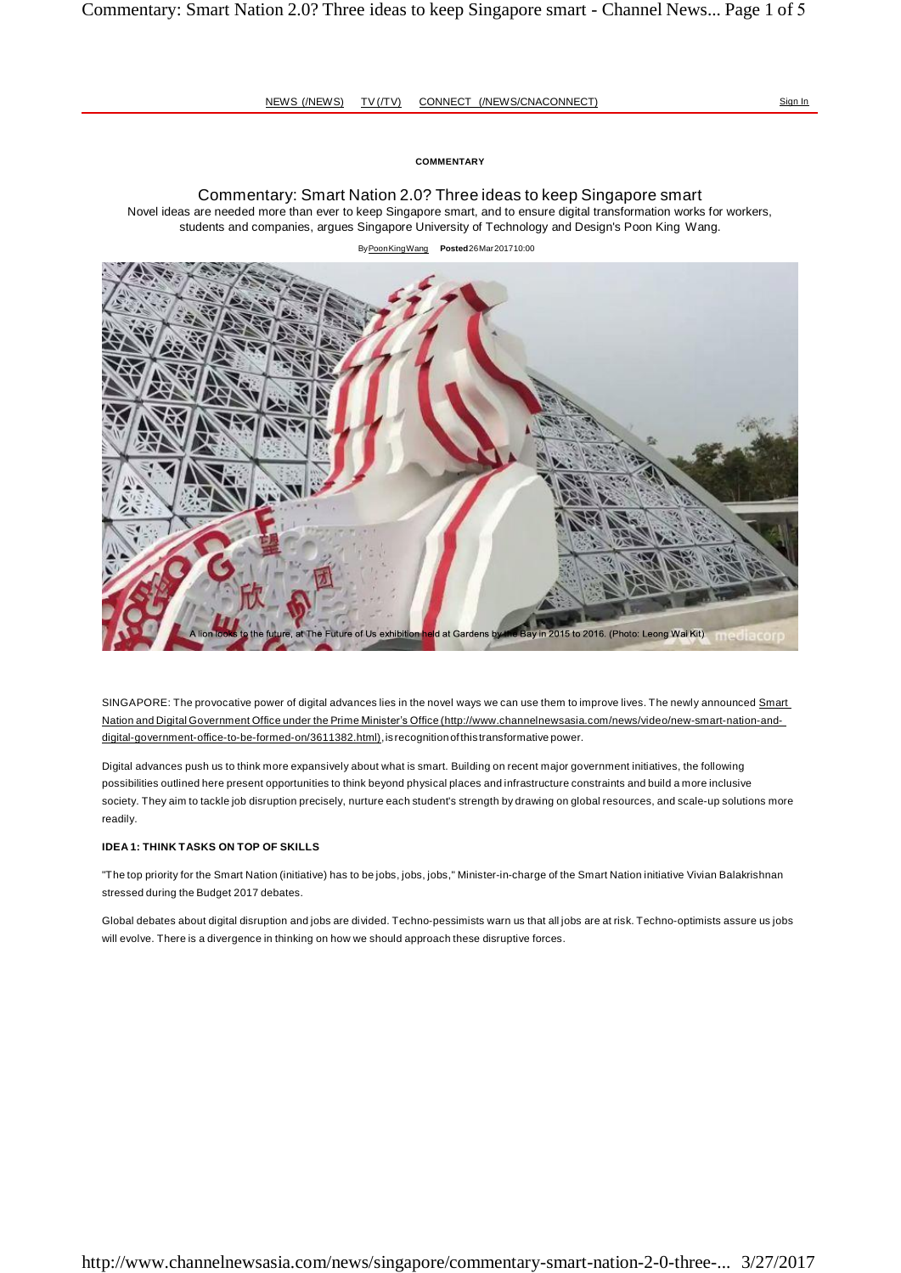### **COMMENTARY**

Commentary: Smart Nation 2.0? Three ideas to keep Singapore smart Novel ideas are needed more than ever to keep Singapore smart, and to ensure digital transformation works for workers, students and companies, argues Singapore University of Technology and Design's Poon King Wang.

#### By Poon King Wang **Posted** 26 Mar 2017 10:00



SINGAPORE: The provocative power of digital advances lies in the novel ways we can use them to improve lives. The newly announced Smart Nation and Digital Government Office under the Prime Minister's Offic[e \(http://www.channelnewsasia.com/news/video/new-smart-nation-and](http://www.channelnewsasia.com/news/video/new-smart-nation-and-)digital-government-office-to-be-formed-on/3611382.html), is recognition of this transformative power.

Digital advances push us to think more expansively about what is smart. Building on recent major government initiatives, the following possibilities outlined here present opportunities to think beyond physical places and infrastructure constraints and build a more inclusive society. They aim to tackle job disruption precisely, nurture each student's strength by drawing on global resources, and scale-up solutions more readily.

#### **IDEA 1: THINK TASKS ON TOP OF SKILLS**

"The top priority for the Smart Nation (initiative) has to be jobs, jobs, jobs," Minister-in-charge of the Smart Nation initiative Vivian Balakrishnan stressed during the Budget 2017 debates.

Global debates about digital disruption and jobs are divided. Techno-pessimists warn us that all jobs are at risk. Techno-optimists assure us jobs will evolve. There is a divergence in thinking on how we should approach these disruptive forces.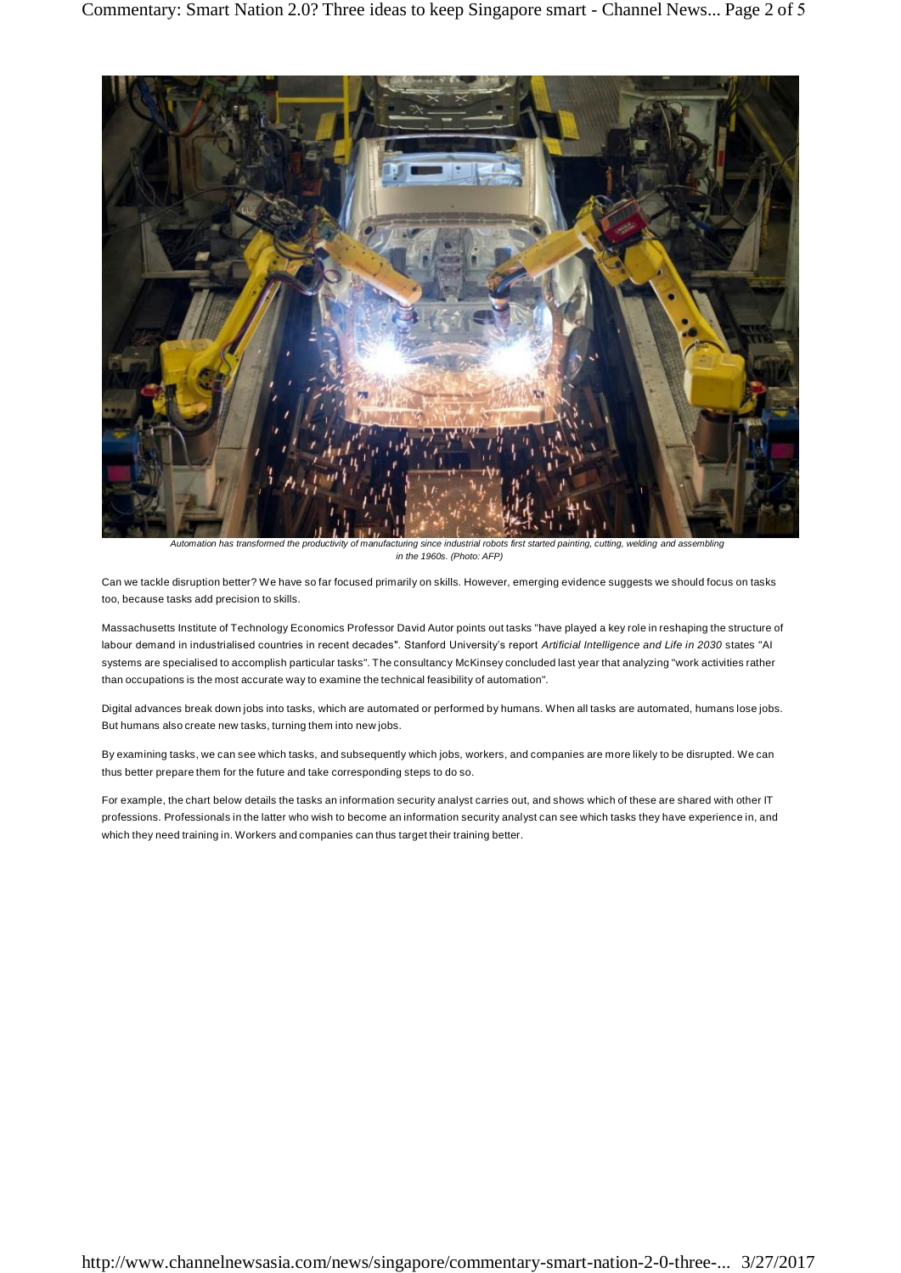

*Automation has transformed the productivity of manufacturing since industrial robots first started painting, cutting, welding and assembling in the 1960s. (Photo: AFP)*

Can we tackle disruption better? We have so far focused primarily on skills. However, emerging evidence suggests we should focus on tasks too, because tasks add precision to skills.

Massachusetts Institute of Technology Economics Professor David Autor points out tasks "have played a key role in reshaping the structure of labour demand in industrialised countries in recent decades". Stanford University's report *Artificial Intelligence and Life in 2030* states "AI systems are specialised to accomplish particular tasks". The consultancy McKinsey concluded last year that analyzing "work activities rather than occupations is the most accurate way to examine the technical feasibility of automation".

Digital advances break down jobs into tasks, which are automated or performed by humans. When all tasks are automated, humans lose jobs. But humans also create new tasks, turning them into new jobs.

By examining tasks, we can see which tasks, and subsequently which jobs, workers, and companies are more likely to be disrupted. We can thus better prepare them for the future and take corresponding steps to do so.

For example, the chart below details the tasks an information security analyst carries out, and shows which of these are shared with other IT professions. Professionals in the latter who wish to become an information security analyst can see which tasks they have experience in, and which they need training in. Workers and companies can thus target their training better.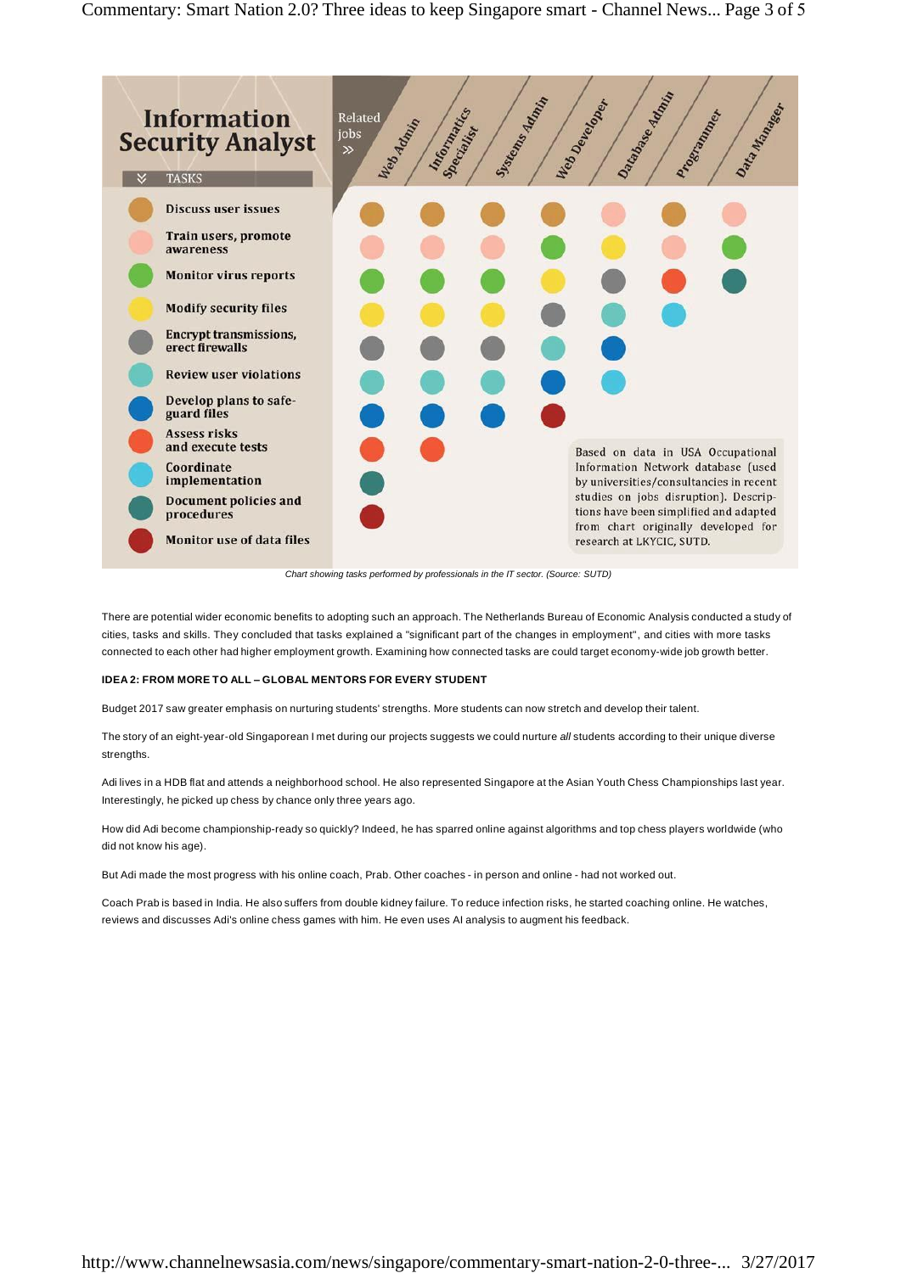

*Chart showing tasks performed by professionals in the IT sector. (Source: SUTD)*

There are potential wider economic benefits to adopting such an approach. The Netherlands Bureau of Economic Analysis conducted a study of cities, tasks and skills. They concluded that tasks explained a "significant part of the changes in employment", and cities with more tasks connected to each other had higher employment growth. Examining how connected tasks are could target economy-wide job growth better.

# **IDEA 2: FROM MORE TO ALL – GLOBAL MENTORS FOR EVERY STUDENT**

Budget 2017 saw greater emphasis on nurturing students' strengths. More students can now stretch and develop their talent.

The story of an eight-year-old Singaporean I met during our projects suggests we could nurture *all* students according to their unique diverse strengths.

Adi lives in a HDB flat and attends a neighborhood school. He also represented Singapore at the Asian Youth Chess Championships last year. Interestingly, he picked up chess by chance only three years ago.

How did Adi become championship-ready so quickly? Indeed, he has sparred online against algorithms and top chess players worldwide (who did not know his age).

But Adi made the most progress with his online coach, Prab. Other coaches - in person and online - had not worked out.

Coach Prab is based in India. He also suffers from double kidney failure. To reduce infection risks, he started coaching online. He watches, reviews and discusses Adi's online chess games with him. He even uses AI analysis to augment his feedback.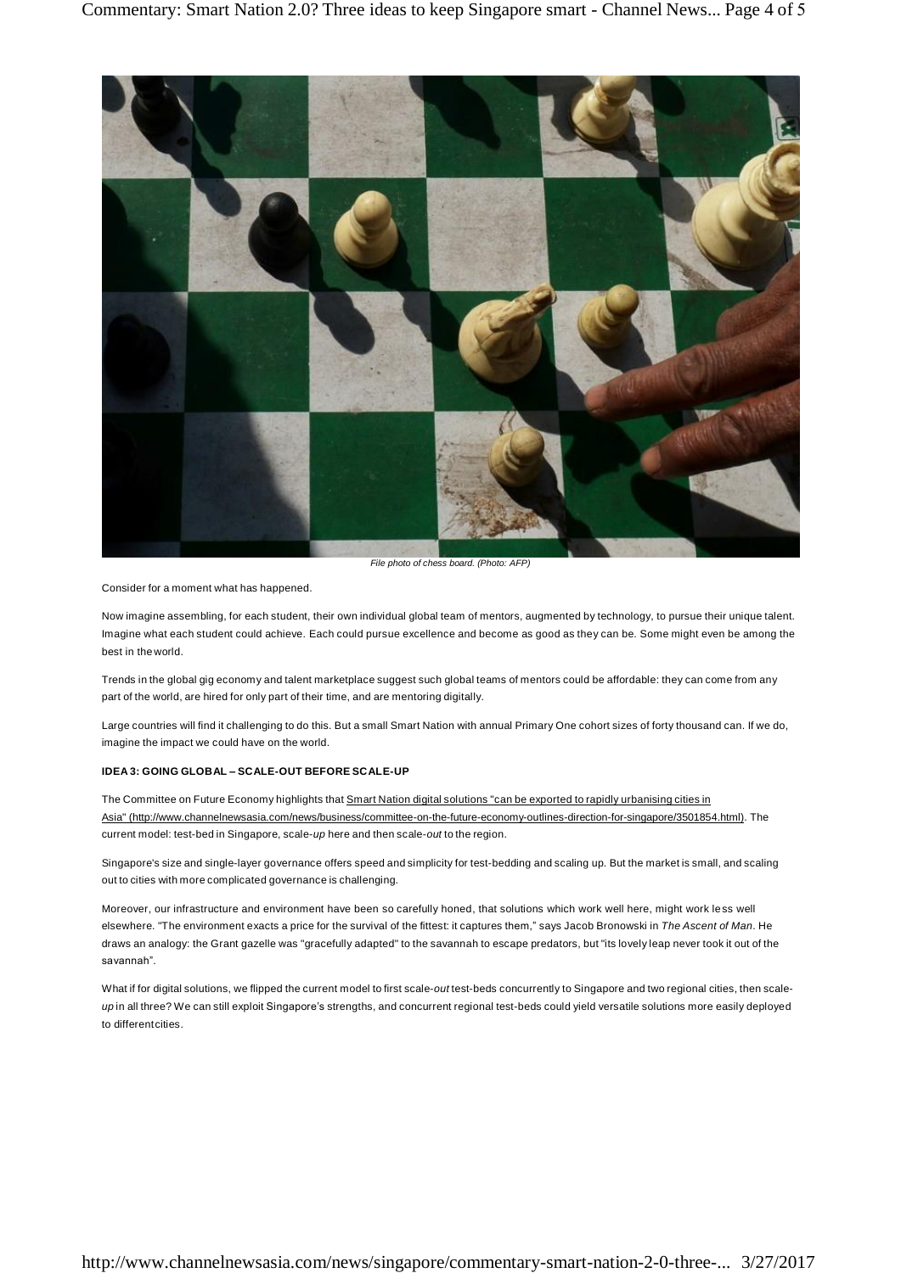

*File photo of chess board. (Photo: AFP)*

Consider for a moment what has happened.

Now imagine assembling, for each student, their own individual global team of mentors, augmented by technology, to pursue their unique talent. Imagine what each student could achieve. Each could pursue excellence and become as good as they can be. Some might even be among the best in the world.

Trends in the global gig economy and talent marketplace suggest such global teams of mentors could be affordable: they can come from any part of the world, are hired for only part of their time, and are mentoring digitally.

Large countries will find it challenging to do this. But a small Smart Nation with annual Primary One cohort sizes of forty thousand can. If we do, imagine the impact we could have on the world.

#### **IDEA 3: GOING GLOBAL – SCALE-OUT BEFORE SCALE-UP**

The Committee on Future Economy highlights that Smart Nation digital solutions "can be exported to rapidly urbanising cities in Asia" [\(http://www.channelnewsasia.com/news/business/committee-on-the-future-economy-outlines-direction-for-singapore/3501854.html\). T](http://www.channelnewsasia.com/news/business/committee-on-the-future-economy-outlines-direction-for-singapore/3501854.html))he current model: test-bed in Singapore, scale-*up* here and then scale-*out* to the region.

Singapore's size and single-layer governance offers speed and simplicity for test-bedding and scaling up. But the market is small, and scaling out to cities with more complicated governance is challenging.

Moreover, our infrastructure and environment have been so carefully honed, that solutions which work well here, might work less well elsewhere. "The environment exacts a price for the survival of the fittest: it captures them," says Jacob Bronowski in *The Ascent of Man*. He draws an analogy: the Grant gazelle was "gracefully adapted" to the savannah to escape predators, but "its lovely leap never took it out of the savannah".

What if for digital solutions, we flipped the current model to first scale-*out* test-beds concurrently to Singapore and two regional cities, then scale*up* in all three? We can still exploit Singapore's strengths, and concurrent regional test-beds could yield versatile solutions more easily deployed to different cities.